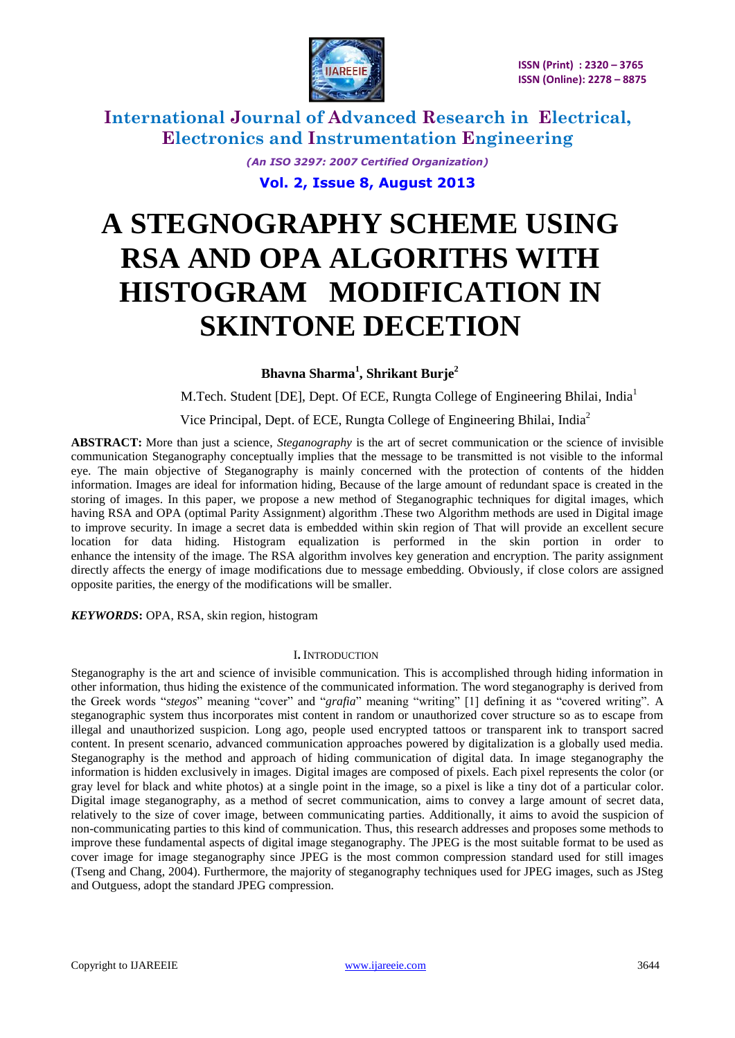

> *(An ISO 3297: 2007 Certified Organization)* **Vol. 2, Issue 8, August 2013**

# **A STEGNOGRAPHY SCHEME USING RSA AND OPA ALGORITHS WITH HISTOGRAM MODIFICATION IN SKINTONE DECETION**

 **Bhavna Sharma<sup>1</sup> , Shrikant Burje<sup>2</sup>**

M.Tech. Student [DE], Dept. Of ECE, Rungta College of Engineering Bhilai, India<sup>1</sup>

Vice Principal, Dept. of ECE, Rungta College of Engineering Bhilai, India<sup>2</sup>

**ABSTRACT:** More than just a science, *Steganography* is the art of secret communication or the science of invisible communication Steganography conceptually implies that the message to be transmitted is not visible to the informal eye. The main objective of Steganography is mainly concerned with the protection of contents of the hidden information. Images are ideal for information hiding, Because of the large amount of redundant space is created in the storing of images. In this paper, we propose a new method of Steganographic techniques for digital images, which having RSA and OPA (optimal Parity Assignment) algorithm .These two Algorithm methods are used in Digital image to improve security. In image a secret data is embedded within skin region of That will provide an excellent secure location for data hiding. Histogram equalization is performed in the skin portion in order to enhance the intensity of the image. The RSA algorithm involves key generation and encryption. The parity assignment directly affects the energy of image modifications due to message embedding. Obviously, if close colors are assigned opposite parities, the energy of the modifications will be smaller.

*KEYWORDS***:** OPA, RSA, skin region, histogram

#### I**.** INTRODUCTION

Steganography is the art and science of invisible communication. This is accomplished through hiding information in other information, thus hiding the existence of the communicated information. The word steganography is derived from the Greek words "stegos" meaning "cover" and "grafia" meaning "writing" [1] defining it as "covered writing". A steganographic system thus incorporates mist content in random or unauthorized cover structure so as to escape from illegal and unauthorized suspicion. Long ago, people used encrypted tattoos or transparent ink to transport sacred content. In present scenario, advanced communication approaches powered by digitalization is a globally used media. Steganography is the method and approach of hiding communication of digital data. In image steganography the information is hidden exclusively in images. Digital images are composed of pixels. Each pixel represents the color (or gray level for black and white photos) at a single point in the image, so a pixel is like a tiny dot of a particular color. Digital image steganography, as a method of secret communication, aims to convey a large amount of secret data, relatively to the size of cover image, between communicating parties. Additionally, it aims to avoid the suspicion of non-communicating parties to this kind of communication. Thus, this research addresses and proposes some methods to improve these fundamental aspects of digital image steganography. The JPEG is the most suitable format to be used as cover image for image steganography since JPEG is the most common compression standard used for still images (Tseng and Chang, 2004). Furthermore, the majority of steganography techniques used for JPEG images, such as JSteg and Outguess, adopt the standard JPEG compression.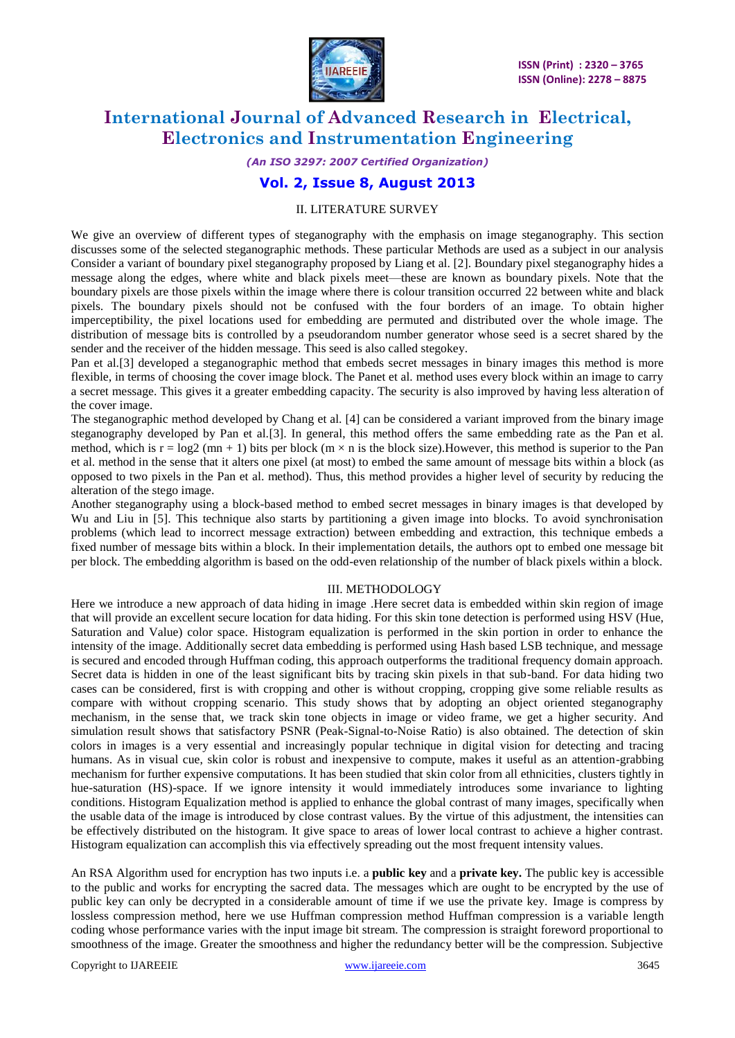

## *(An ISO 3297: 2007 Certified Organization)*

## **Vol. 2, Issue 8, August 2013**

### II. LITERATURE SURVEY

We give an overview of different types of steganography with the emphasis on image steganography. This section discusses some of the selected steganographic methods. These particular Methods are used as a subject in our analysis Consider a variant of boundary pixel steganography proposed by Liang et al. [2]. Boundary pixel steganography hides a message along the edges, where white and black pixels meet—these are known as boundary pixels. Note that the boundary pixels are those pixels within the image where there is colour transition occurred 22 between white and black pixels. The boundary pixels should not be confused with the four borders of an image. To obtain higher imperceptibility, the pixel locations used for embedding are permuted and distributed over the whole image. The distribution of message bits is controlled by a pseudorandom number generator whose seed is a secret shared by the sender and the receiver of the hidden message. This seed is also called stegokey.

Pan et al.[3] developed a steganographic method that embeds secret messages in binary images this method is more flexible, in terms of choosing the cover image block. The Panet et al. method uses every block within an image to carry a secret message. This gives it a greater embedding capacity. The security is also improved by having less alteration of the cover image.

The steganographic method developed by Chang et al. [4] can be considered a variant improved from the binary image steganography developed by Pan et al.[3]. In general, this method offers the same embedding rate as the Pan et al. method, which is  $r = log2 (mn + 1)$  bits per block  $(m \times n$  is the block size). However, this method is superior to the Pan et al. method in the sense that it alters one pixel (at most) to embed the same amount of message bits within a block (as opposed to two pixels in the Pan et al. method). Thus, this method provides a higher level of security by reducing the alteration of the stego image.

Another steganography using a block-based method to embed secret messages in binary images is that developed by Wu and Liu in [5]. This technique also starts by partitioning a given image into blocks. To avoid synchronisation problems (which lead to incorrect message extraction) between embedding and extraction, this technique embeds a fixed number of message bits within a block. In their implementation details, the authors opt to embed one message bit per block. The embedding algorithm is based on the odd-even relationship of the number of black pixels within a block.

#### III. METHODOLOGY

Here we introduce a new approach of data hiding in image .Here secret data is embedded within skin region of image that will provide an excellent secure location for data hiding. For this skin tone detection is performed using HSV (Hue, Saturation and Value) color space. Histogram equalization is performed in the skin portion in order to enhance the intensity of the image. Additionally secret data embedding is performed using Hash based LSB technique, and message is secured and encoded through Huffman coding, this approach outperforms the traditional frequency domain approach. Secret data is hidden in one of the least significant bits by tracing skin pixels in that sub-band. For data hiding two cases can be considered, first is with cropping and other is without cropping, cropping give some reliable results as compare with without cropping scenario. This study shows that by adopting an object oriented steganography mechanism, in the sense that, we track skin tone objects in image or video frame, we get a higher security. And simulation result shows that satisfactory PSNR (Peak-Signal-to-Noise Ratio) is also obtained. The detection of skin colors in images is a very essential and increasingly popular technique in digital vision for detecting and tracing humans. As in visual cue, skin color is robust and inexpensive to compute, makes it useful as an attention-grabbing mechanism for further expensive computations. It has been studied that skin color from all ethnicities, clusters tightly in hue-saturation (HS)-space. If we ignore intensity it would immediately introduces some invariance to lighting conditions. Histogram Equalization method is applied to enhance the global [contrast](http://en.wikipedia.org/wiki/Contrast_(vision)) of many images, specifically when the usable [data](http://en.wikipedia.org/wiki/Data) of the image is introduced by close contrast values. By the virtue of this adjustment, the [intensities](http://en.wikipedia.org/wiki/Luminous_intensity) can be effectively distributed on the histogram. It give space to areas of lower local contrast to achieve a higher contrast. Histogram equalization can accomplish this via effectively spreading out the most frequent intensity values.

An RSA Algorithm used for encryption has two inputs i.e. a **public key** and a **private key.** The public key is accessible to the public and works for encrypting the sacred data. The messages which are ought to be encrypted by the use of public key can only be decrypted in a considerable amount of time if we use the private key. Image is compress by lossless compression method, here we use Huffman compression method Huffman compression is a variable length coding whose performance varies with the input image bit stream. The compression is straight foreword proportional to smoothness of the image. Greater the smoothness and higher the redundancy better will be the compression. Subjective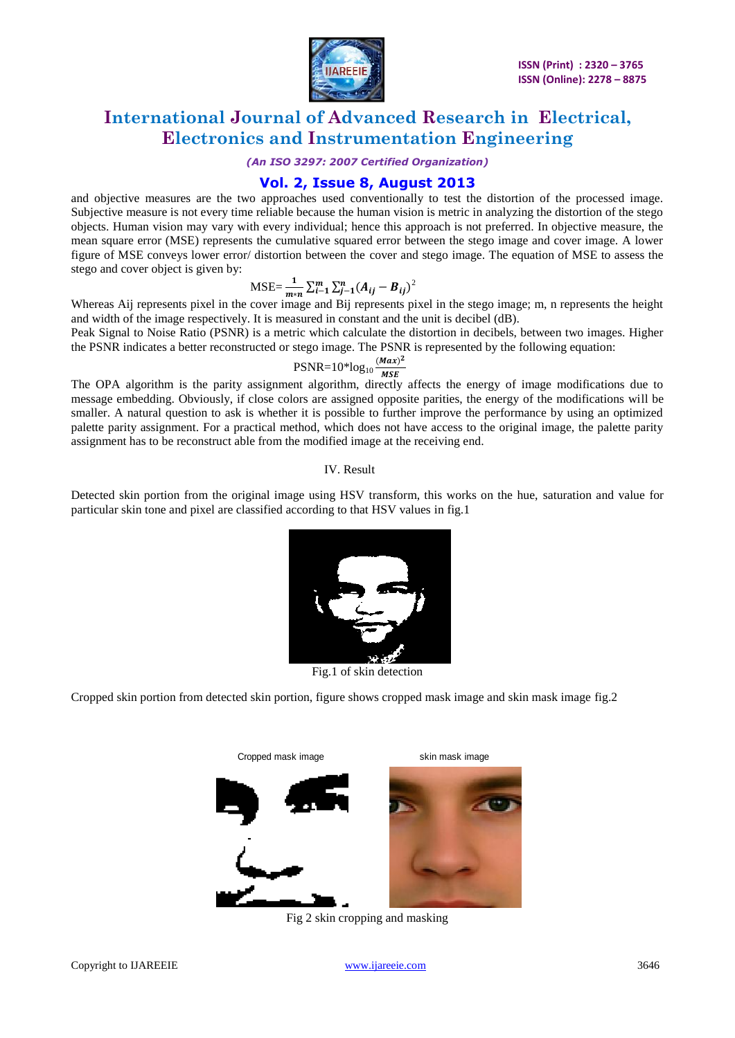

#### *(An ISO 3297: 2007 Certified Organization)*

## **Vol. 2, Issue 8, August 2013**

and objective measures are the two approaches used conventionally to test the distortion of the processed image. Subjective measure is not every time reliable because the human vision is metric in analyzing the distortion of the stego objects. Human vision may vary with every individual; hence this approach is not preferred. In objective measure, the mean square error (MSE) represents the cumulative squared error between the stego image and cover image. A lower figure of MSE conveys lower error/ distortion between the cover and stego image. The equation of MSE to assess the stego and cover object is given by:

$$
\text{MSE} = \frac{1}{m*n} \sum_{i=1}^{m} \sum_{j=1}^{n} (A_{ij} - B_{ij})^2
$$

Whereas Aij represents pixel in the cover image and Bij represents pixel in the stego image; m, n represents the height and width of the image respectively. It is measured in constant and the unit is decibel (dB).

Peak Signal to Noise Ratio (PSNR) is a metric which calculate the distortion in decibels, between two images. Higher the PSNR indicates a better reconstructed or stego image. The PSNR is represented by the following equation:

$$
PSNR = 10*log10 \frac{(Max)^2}{MSE}
$$

The OPA algorithm is the parity assignment algorithm, directly affects the energy of image modifications due to message embedding. Obviously, if close colors are assigned opposite parities, the energy of the modifications will be smaller. A natural question to ask is whether it is possible to further improve the performance by using an optimized palette parity assignment. For a practical method, which does not have access to the original image, the palette parity assignment has to be reconstruct able from the modified image at the receiving end.

#### IV. Result

Detected skin portion from the original image using HSV transform, this works on the hue, saturation and value for particular skin tone and pixel are classified according to that HSV values in fig.1



Fig.1 of skin detection

Cropped skin portion from detected skin portion, figure shows cropped mask image and skin mask image fig.2



Fig 2 skin cropping and masking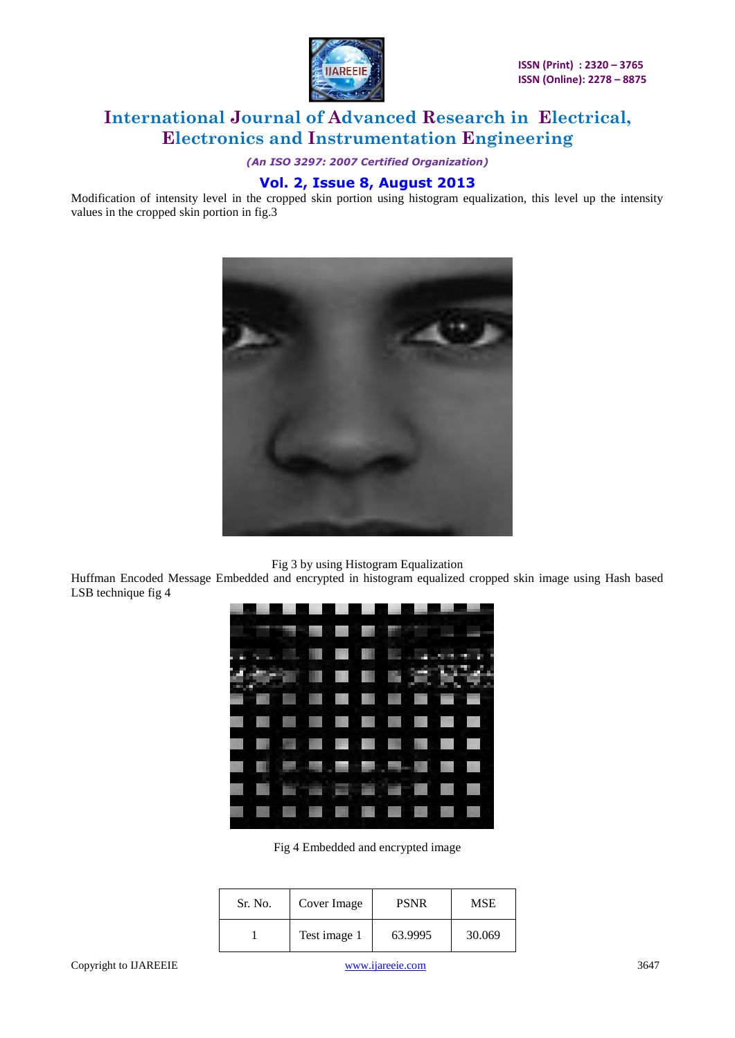

*(An ISO 3297: 2007 Certified Organization)*

## **Vol. 2, Issue 8, August 2013**

Modification of intensity level in the cropped skin portion using histogram equalization, this level up the intensity values in the cropped skin portion in fig.3



Huffman Encoded Message Embedded and encrypted in histogram equalized cropped skin image using Hash based LSB technique fig 4

|         | Fig 3 by using Histogram Equalization<br>age Embedded and encrypted in histogram equalized cropped sl |             |            |
|---------|-------------------------------------------------------------------------------------------------------|-------------|------------|
|         | Fig 4 Embedded and encrypted image                                                                    |             |            |
| Sr. No. | Cover Image                                                                                           | <b>PSNR</b> | <b>MSE</b> |
| 1       | Test image 1                                                                                          | 63.9995     | 30.069     |

Fig 4 Embedded and encrypted image

| Sr. No. | Cover Image  | <b>PSNR</b> | <b>MSE</b> |
|---------|--------------|-------------|------------|
|         | Test image 1 | 63.9995     | 30.069     |